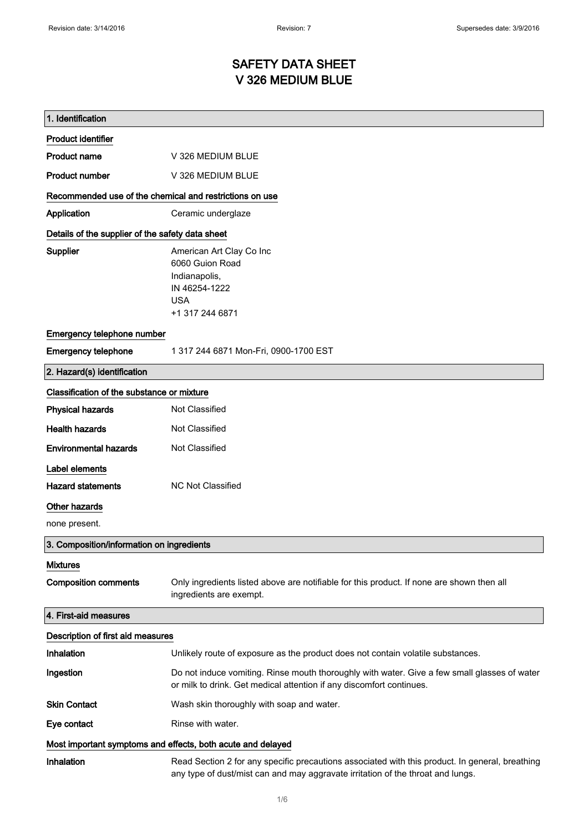# SAFETY DATA SHEET V 326 MEDIUM BLUE

| 1. Identification                                           |                                                                                                                                                                                    |
|-------------------------------------------------------------|------------------------------------------------------------------------------------------------------------------------------------------------------------------------------------|
| <b>Product identifier</b>                                   |                                                                                                                                                                                    |
| <b>Product name</b>                                         | V 326 MEDIUM BLUE                                                                                                                                                                  |
| <b>Product number</b>                                       | V 326 MEDIUM BLUE                                                                                                                                                                  |
| Recommended use of the chemical and restrictions on use     |                                                                                                                                                                                    |
| Application                                                 | Ceramic underglaze                                                                                                                                                                 |
| Details of the supplier of the safety data sheet            |                                                                                                                                                                                    |
| Supplier                                                    | American Art Clay Co Inc<br>6060 Guion Road<br>Indianapolis,<br>IN 46254-1222<br><b>USA</b><br>+1 317 244 6871                                                                     |
| Emergency telephone number                                  |                                                                                                                                                                                    |
| <b>Emergency telephone</b>                                  | 1 317 244 6871 Mon-Fri, 0900-1700 EST                                                                                                                                              |
| 2. Hazard(s) identification                                 |                                                                                                                                                                                    |
| Classification of the substance or mixture                  |                                                                                                                                                                                    |
| <b>Physical hazards</b>                                     | Not Classified                                                                                                                                                                     |
| <b>Health hazards</b>                                       | Not Classified                                                                                                                                                                     |
| <b>Environmental hazards</b>                                | Not Classified                                                                                                                                                                     |
| Label elements                                              |                                                                                                                                                                                    |
| <b>Hazard statements</b>                                    | <b>NC Not Classified</b>                                                                                                                                                           |
| Other hazards                                               |                                                                                                                                                                                    |
| none present.                                               |                                                                                                                                                                                    |
| 3. Composition/information on ingredients                   |                                                                                                                                                                                    |
| <b>Mixtures</b>                                             |                                                                                                                                                                                    |
| <b>Composition comments</b>                                 | Only ingredients listed above are notifiable for this product. If none are shown then all<br>ingredients are exempt.                                                               |
| 4. First-aid measures                                       |                                                                                                                                                                                    |
| Description of first aid measures                           |                                                                                                                                                                                    |
| Inhalation                                                  | Unlikely route of exposure as the product does not contain volatile substances.                                                                                                    |
| Ingestion                                                   | Do not induce vomiting. Rinse mouth thoroughly with water. Give a few small glasses of water<br>or milk to drink. Get medical attention if any discomfort continues.               |
| <b>Skin Contact</b>                                         | Wash skin thoroughly with soap and water.                                                                                                                                          |
| Eye contact                                                 | Rinse with water.                                                                                                                                                                  |
| Most important symptoms and effects, both acute and delayed |                                                                                                                                                                                    |
| Inhalation                                                  | Read Section 2 for any specific precautions associated with this product. In general, breathing<br>any type of dust/mist can and may aggravate irritation of the throat and lungs. |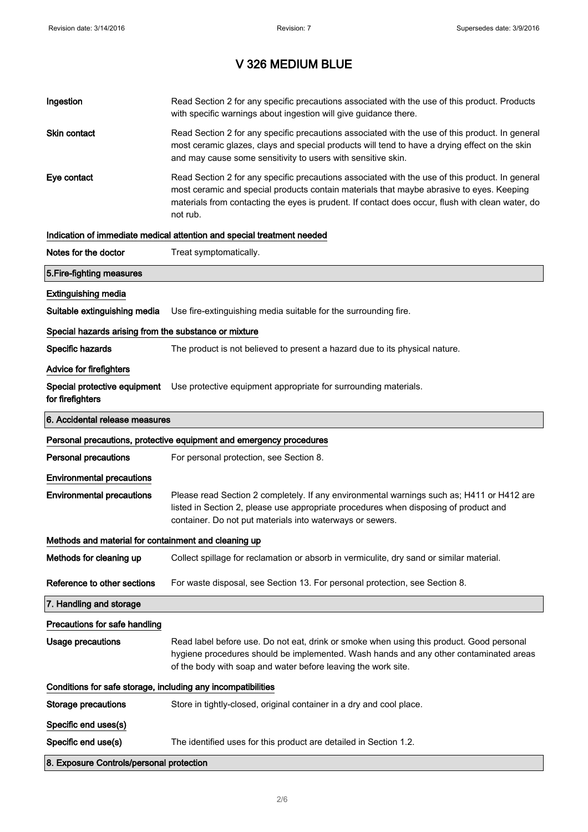| Ingestion                                                    | Read Section 2 for any specific precautions associated with the use of this product. Products<br>with specific warnings about ingestion will give guidance there.                                                                                                                                           |
|--------------------------------------------------------------|-------------------------------------------------------------------------------------------------------------------------------------------------------------------------------------------------------------------------------------------------------------------------------------------------------------|
| Skin contact                                                 | Read Section 2 for any specific precautions associated with the use of this product. In general<br>most ceramic glazes, clays and special products will tend to have a drying effect on the skin<br>and may cause some sensitivity to users with sensitive skin.                                            |
| Eye contact                                                  | Read Section 2 for any specific precautions associated with the use of this product. In general<br>most ceramic and special products contain materials that maybe abrasive to eyes. Keeping<br>materials from contacting the eyes is prudent. If contact does occur, flush with clean water, do<br>not rub. |
|                                                              | Indication of immediate medical attention and special treatment needed                                                                                                                                                                                                                                      |
| Notes for the doctor                                         | Treat symptomatically.                                                                                                                                                                                                                                                                                      |
| 5. Fire-fighting measures                                    |                                                                                                                                                                                                                                                                                                             |
| <b>Extinguishing media</b>                                   |                                                                                                                                                                                                                                                                                                             |
| Suitable extinguishing media                                 | Use fire-extinguishing media suitable for the surrounding fire.                                                                                                                                                                                                                                             |
| Special hazards arising from the substance or mixture        |                                                                                                                                                                                                                                                                                                             |
| Specific hazards                                             | The product is not believed to present a hazard due to its physical nature.                                                                                                                                                                                                                                 |
| <b>Advice for firefighters</b>                               |                                                                                                                                                                                                                                                                                                             |
| for firefighters                                             | Special protective equipment Use protective equipment appropriate for surrounding materials.                                                                                                                                                                                                                |
| 6. Accidental release measures                               |                                                                                                                                                                                                                                                                                                             |
|                                                              |                                                                                                                                                                                                                                                                                                             |
|                                                              | Personal precautions, protective equipment and emergency procedures                                                                                                                                                                                                                                         |
| <b>Personal precautions</b>                                  | For personal protection, see Section 8.                                                                                                                                                                                                                                                                     |
| <b>Environmental precautions</b>                             |                                                                                                                                                                                                                                                                                                             |
| <b>Environmental precautions</b>                             | Please read Section 2 completely. If any environmental warnings such as; H411 or H412 are<br>listed in Section 2, please use appropriate procedures when disposing of product and<br>container. Do not put materials into waterways or sewers.                                                              |
| Methods and material for containment and cleaning up         |                                                                                                                                                                                                                                                                                                             |
| Methods for cleaning up                                      | Collect spillage for reclamation or absorb in vermiculite, dry sand or similar material.                                                                                                                                                                                                                    |
| Reference to other sections                                  | For waste disposal, see Section 13. For personal protection, see Section 8.                                                                                                                                                                                                                                 |
| 7. Handling and storage                                      |                                                                                                                                                                                                                                                                                                             |
| Precautions for safe handling                                |                                                                                                                                                                                                                                                                                                             |
| <b>Usage precautions</b>                                     | Read label before use. Do not eat, drink or smoke when using this product. Good personal<br>hygiene procedures should be implemented. Wash hands and any other contaminated areas<br>of the body with soap and water before leaving the work site.                                                          |
| Conditions for safe storage, including any incompatibilities |                                                                                                                                                                                                                                                                                                             |
| <b>Storage precautions</b>                                   | Store in tightly-closed, original container in a dry and cool place.                                                                                                                                                                                                                                        |
| Specific end uses(s)                                         |                                                                                                                                                                                                                                                                                                             |
| Specific end use(s)                                          | The identified uses for this product are detailed in Section 1.2.                                                                                                                                                                                                                                           |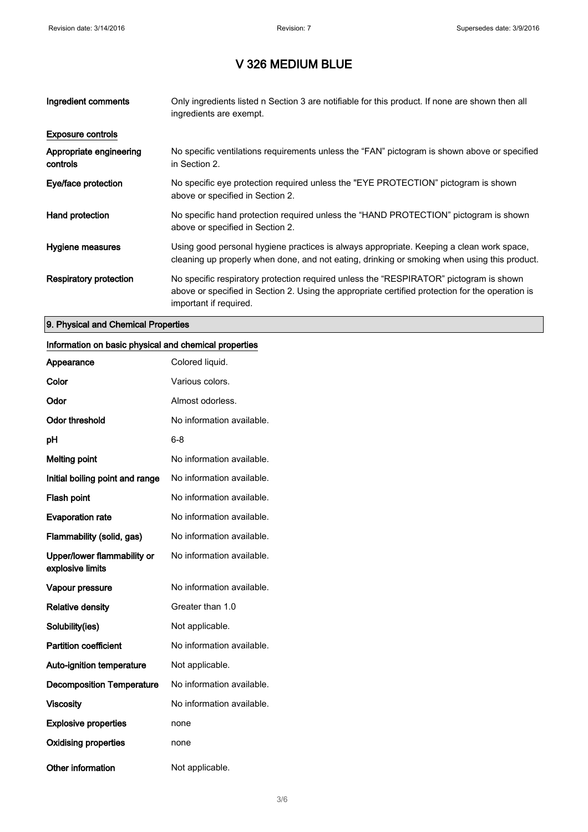| Ingredient comments                 | Only ingredients listed n Section 3 are notifiable for this product. If none are shown then all<br>ingredients are exempt.                                                                                           |
|-------------------------------------|----------------------------------------------------------------------------------------------------------------------------------------------------------------------------------------------------------------------|
| <b>Exposure controls</b>            |                                                                                                                                                                                                                      |
| Appropriate engineering<br>controls | No specific ventilations requirements unless the "FAN" pictogram is shown above or specified<br>in Section 2.                                                                                                        |
| Eye/face protection                 | No specific eye protection required unless the "EYE PROTECTION" pictogram is shown<br>above or specified in Section 2.                                                                                               |
| Hand protection                     | No specific hand protection required unless the "HAND PROTECTION" pictogram is shown<br>above or specified in Section 2.                                                                                             |
| Hygiene measures                    | Using good personal hygiene practices is always appropriate. Keeping a clean work space,<br>cleaning up properly when done, and not eating, drinking or smoking when using this product.                             |
| Respiratory protection              | No specific respiratory protection required unless the "RESPIRATOR" pictogram is shown<br>above or specified in Section 2. Using the appropriate certified protection for the operation is<br>important if required. |

#### 9. Physical and Chemical Properties

### Information on basic physical and chemical properties

| Appearance                                      | Colored liquid.           |
|-------------------------------------------------|---------------------------|
| Color                                           | Various colors.           |
| Odor                                            | Almost odorless.          |
| <b>Odor threshold</b>                           | No information available. |
| рH                                              | 6-8                       |
| <b>Melting point</b>                            | No information available. |
| Initial boiling point and range                 | No information available. |
| <b>Flash point</b>                              | No information available. |
| <b>Evaporation rate</b>                         | No information available. |
| Flammability (solid, gas)                       | No information available. |
| Upper/lower flammability or<br>explosive limits | No information available. |
| Vapour pressure                                 | No information available. |
| <b>Relative density</b>                         | Greater than 1.0          |
| Solubility(ies)                                 | Not applicable.           |
| <b>Partition coefficient</b>                    | No information available. |
| <b>Auto-ignition temperature</b>                | Not applicable.           |
| <b>Decomposition Temperature</b>                | No information available. |
| <b>Viscosity</b>                                | No information available. |
| <b>Explosive properties</b>                     | none                      |
| <b>Oxidising properties</b>                     | none                      |
| <b>Other information</b>                        | Not applicable.           |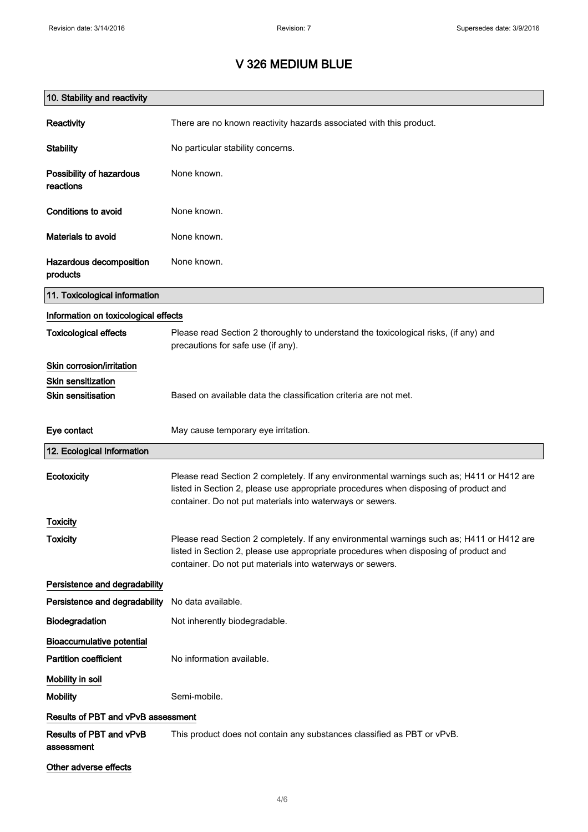| 10. Stability and reactivity          |                                                                                                                                                                                                                                                |
|---------------------------------------|------------------------------------------------------------------------------------------------------------------------------------------------------------------------------------------------------------------------------------------------|
| Reactivity                            | There are no known reactivity hazards associated with this product.                                                                                                                                                                            |
| <b>Stability</b>                      | No particular stability concerns.                                                                                                                                                                                                              |
| Possibility of hazardous<br>reactions | None known.                                                                                                                                                                                                                                    |
| Conditions to avoid                   | None known.                                                                                                                                                                                                                                    |
| Materials to avoid                    | None known.                                                                                                                                                                                                                                    |
| Hazardous decomposition<br>products   | None known.                                                                                                                                                                                                                                    |
| 11. Toxicological information         |                                                                                                                                                                                                                                                |
| Information on toxicological effects  |                                                                                                                                                                                                                                                |
| <b>Toxicological effects</b>          | Please read Section 2 thoroughly to understand the toxicological risks, (if any) and<br>precautions for safe use (if any).                                                                                                                     |
| Skin corrosion/irritation             |                                                                                                                                                                                                                                                |
| <b>Skin sensitization</b>             |                                                                                                                                                                                                                                                |
| <b>Skin sensitisation</b>             | Based on available data the classification criteria are not met.                                                                                                                                                                               |
| Eye contact                           | May cause temporary eye irritation.                                                                                                                                                                                                            |
| 12. Ecological Information            |                                                                                                                                                                                                                                                |
| Ecotoxicity                           | Please read Section 2 completely. If any environmental warnings such as; H411 or H412 are<br>listed in Section 2, please use appropriate procedures when disposing of product and<br>container. Do not put materials into waterways or sewers. |
| <b>Toxicity</b>                       |                                                                                                                                                                                                                                                |
| <b>Toxicity</b>                       | Please read Section 2 completely. If any environmental warnings such as; H411 or H412 are<br>listed in Section 2, please use appropriate procedures when disposing of product and<br>container. Do not put materials into waterways or sewers. |
| Persistence and degradability         |                                                                                                                                                                                                                                                |
| Persistence and degradability         | No data available.                                                                                                                                                                                                                             |
| Biodegradation                        | Not inherently biodegradable.                                                                                                                                                                                                                  |
| <b>Bioaccumulative potential</b>      |                                                                                                                                                                                                                                                |
| <b>Partition coefficient</b>          | No information available.                                                                                                                                                                                                                      |
| Mobility in soil                      |                                                                                                                                                                                                                                                |
| <b>Mobility</b>                       | Semi-mobile.                                                                                                                                                                                                                                   |
| Results of PBT and vPvB assessment    |                                                                                                                                                                                                                                                |
| Results of PBT and vPvB<br>assessment | This product does not contain any substances classified as PBT or vPvB.                                                                                                                                                                        |
| Other adverse effects                 |                                                                                                                                                                                                                                                |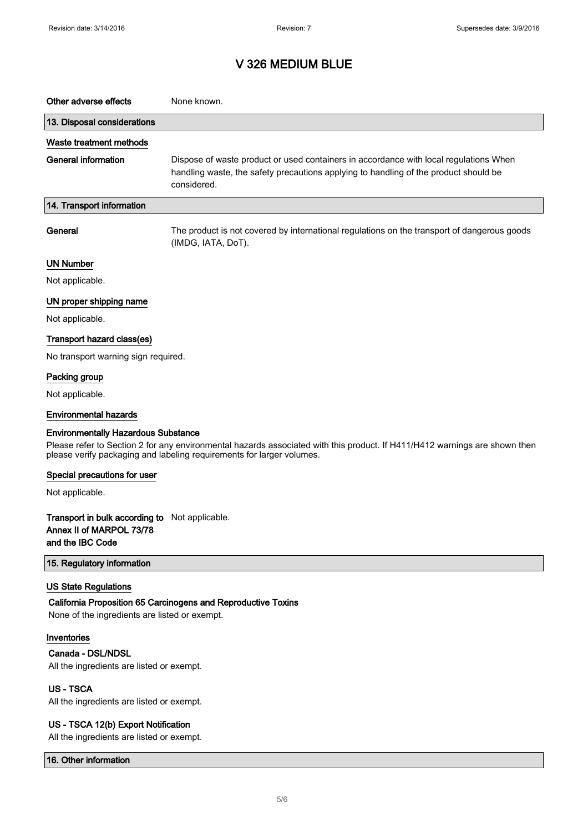| Other adverse effects                                                                                                                                                                                                                             | None known.                                                                                                                                                                                  |  |
|---------------------------------------------------------------------------------------------------------------------------------------------------------------------------------------------------------------------------------------------------|----------------------------------------------------------------------------------------------------------------------------------------------------------------------------------------------|--|
| 13. Disposal considerations                                                                                                                                                                                                                       |                                                                                                                                                                                              |  |
| Waste treatment methods                                                                                                                                                                                                                           |                                                                                                                                                                                              |  |
| <b>General information</b>                                                                                                                                                                                                                        | Dispose of waste product or used containers in accordance with local regulations When<br>handling waste, the safety precautions applying to handling of the product should be<br>considered. |  |
| 14. Transport information                                                                                                                                                                                                                         |                                                                                                                                                                                              |  |
| General                                                                                                                                                                                                                                           | The product is not covered by international regulations on the transport of dangerous goods<br>(IMDG, IATA, DoT).                                                                            |  |
| <b>UN Number</b>                                                                                                                                                                                                                                  |                                                                                                                                                                                              |  |
| Not applicable.                                                                                                                                                                                                                                   |                                                                                                                                                                                              |  |
| UN proper shipping name                                                                                                                                                                                                                           |                                                                                                                                                                                              |  |
| Not applicable.                                                                                                                                                                                                                                   |                                                                                                                                                                                              |  |
| Transport hazard class(es)                                                                                                                                                                                                                        |                                                                                                                                                                                              |  |
| No transport warning sign required.                                                                                                                                                                                                               |                                                                                                                                                                                              |  |
| Packing group                                                                                                                                                                                                                                     |                                                                                                                                                                                              |  |
| Not applicable.                                                                                                                                                                                                                                   |                                                                                                                                                                                              |  |
| <b>Environmental hazards</b>                                                                                                                                                                                                                      |                                                                                                                                                                                              |  |
| <b>Environmentally Hazardous Substance</b><br>Please refer to Section 2 for any environmental hazards associated with this product. If H411/H412 warnings are shown then<br>please verify packaging and labeling requirements for larger volumes. |                                                                                                                                                                                              |  |
| Special precautions for user                                                                                                                                                                                                                      |                                                                                                                                                                                              |  |
| Not applicable.                                                                                                                                                                                                                                   |                                                                                                                                                                                              |  |
| <b>Transport in bulk according to</b> Not applicable.<br>Annex II of MARPOL 73/78<br>and the IBC Code                                                                                                                                             |                                                                                                                                                                                              |  |
| 15. Regulatory information                                                                                                                                                                                                                        |                                                                                                                                                                                              |  |
| <b>US State Regulations</b><br>None of the ingredients are listed or exempt.                                                                                                                                                                      | California Proposition 65 Carcinogens and Reproductive Toxins                                                                                                                                |  |
| Inventories                                                                                                                                                                                                                                       |                                                                                                                                                                                              |  |
| Canada - DSL/NDSL                                                                                                                                                                                                                                 |                                                                                                                                                                                              |  |
| All the ingredients are listed or exempt.                                                                                                                                                                                                         |                                                                                                                                                                                              |  |
| <b>US-TSCA</b><br>All the ingredients are listed or exempt.                                                                                                                                                                                       |                                                                                                                                                                                              |  |
| US - TSCA 12(b) Export Notification                                                                                                                                                                                                               |                                                                                                                                                                                              |  |

All the ingredients are listed or exempt.

16. Other information